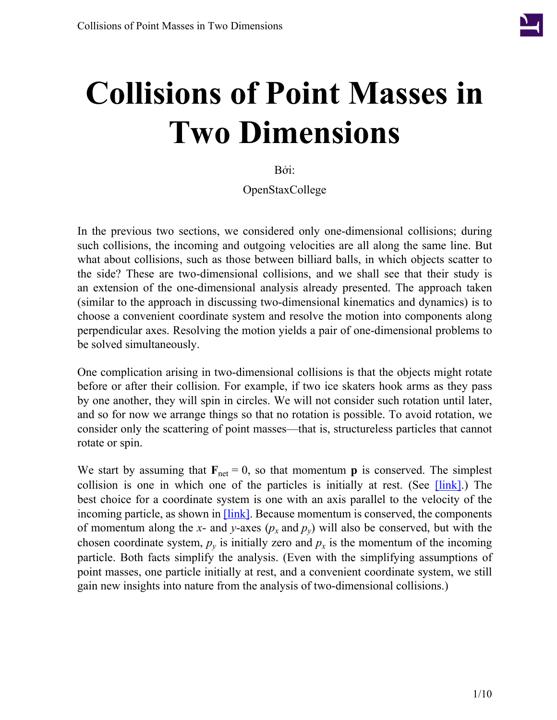

Bởi:

OpenStaxCollege

In the previous two sections, we considered only one-dimensional collisions; during such collisions, the incoming and outgoing velocities are all along the same line. But what about collisions, such as those between billiard balls, in which objects scatter to the side? These are two-dimensional collisions, and we shall see that their study is an extension of the one-dimensional analysis already presented. The approach taken (similar to the approach in discussing two-dimensional kinematics and dynamics) is to choose a convenient coordinate system and resolve the motion into components along perpendicular axes. Resolving the motion yields a pair of one-dimensional problems to be solved simultaneously.

One complication arising in two-dimensional collisions is that the objects might rotate before or after their collision. For example, if two ice skaters hook arms as they pass by one another, they will spin in circles. We will not consider such rotation until later, and so for now we arrange things so that no rotation is possible. To avoid rotation, we consider only the scattering of point masses—that is, structureless particles that cannot rotate or spin.

We start by assuming that  $\mathbf{F}_{\text{net}} = 0$ , so that momentum **p** is conserved. The simplest collision is one in which one of the particles is initially at rest. (See  $\lfloor \text{link} \rfloor$ .) The best choice for a coordinate system is one with an axis parallel to the velocity of the incoming particle, as shown in **[link]**. Because momentum is conserved, the components of momentum along the *x*- and *y*-axes  $(p_x \text{ and } p_y)$  will also be conserved, but with the chosen coordinate system,  $p_y$  is initially zero and  $p_x$  is the momentum of the incoming particle. Both facts simplify the analysis. (Even with the simplifying assumptions of point masses, one particle initially at rest, and a convenient coordinate system, we still gain new insights into nature from the analysis of two-dimensional collisions.)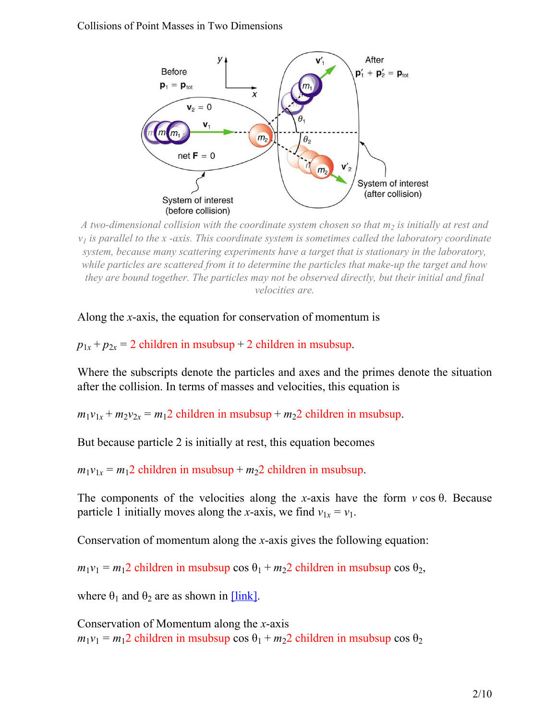<span id="page-1-0"></span>

*A two-dimensional collision with the coordinate system chosen so that m<sup>2</sup> is initially at rest and*  $v<sub>l</sub>$  *is parallel to the x -axis. This coordinate system is sometimes called the laboratory coordinate system, because many scattering experiments have a target that is stationary in the laboratory, while particles are scattered from it to determine the particles that make-up the target and how they are bound together. The particles may not be observed directly, but their initial and final velocities are.*

Along the *x*-axis, the equation for conservation of momentum is

 $p_{1x} + p_{2x} = 2$  children in msubsup + 2 children in msubsup.

Where the subscripts denote the particles and axes and the primes denote the situation after the collision. In terms of masses and velocities, this equation is

 $m_1v_{1x} + m_2v_{2x} = m_12$  children in msubsup +  $m_22$  children in msubsup.

But because particle 2 is initially at rest, this equation becomes

 $m_1v_{1x} = m_12$  children in msubsup +  $m_22$  children in msubsup.

The components of the velocities along the *x*-axis have the form *v* cos θ. Because particle 1 initially moves along the *x*-axis, we find  $v_{1x} = v_1$ .

Conservation of momentum along the *x*-axis gives the following equation:

 $m_1v_1 = m_12$  children in msubsup cos  $\theta_1 + m_22$  children in msubsup cos  $\theta_2$ ,

where  $\theta_1$  and  $\theta_2$  are as shown in [\[link\].](#page-1-0)

Conservation of Momentum along the *x*-axis  $m_1v_1 = m_12$  children in msubsup cos  $\theta_1 + m_22$  children in msubsup cos  $\theta_2$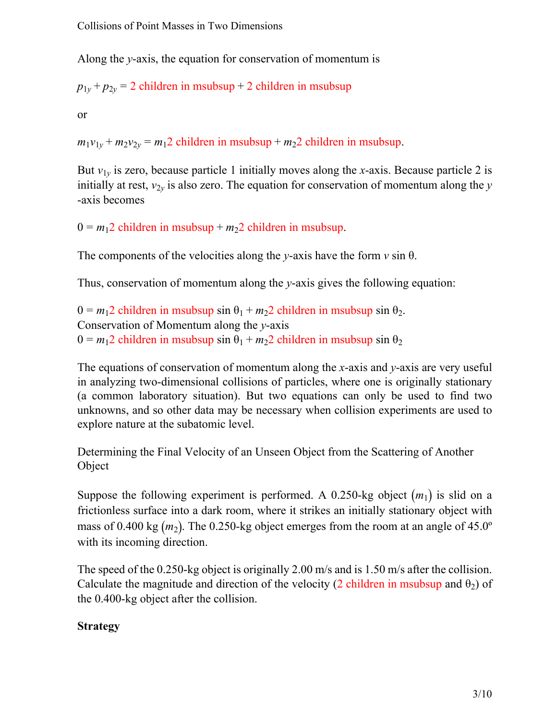Along the *y*-axis, the equation for conservation of momentum is

 $p_{1y} + p_{2y} = 2$  children in msubsup + 2 children in msubsup

or

 $m_1v_{1y} + m_2v_{2y} = m_12$  children in msubsup +  $m_22$  children in msubsup.

But  $v_{1y}$  is zero, because particle 1 initially moves along the *x*-axis. Because particle 2 is initially at rest,  $v_{2y}$  is also zero. The equation for conservation of momentum along the *y* -axis becomes

 $0 = m_1 2$  children in msubsup +  $m_2 2$  children in msubsup.

The components of the velocities along the *y*-axis have the form  $v \sin \theta$ .

Thus, conservation of momentum along the *y*-axis gives the following equation:

 $0 = m_1 2$  children in msubsup sin  $\theta_1 + m_2 2$  children in msubsup sin  $\theta_2$ . Conservation of Momentum along the *y*-axis  $0 = m_1 2$  children in msubsup sin  $\theta_1 + m_2 2$  children in msubsup sin  $\theta_2$ 

The equations of conservation of momentum along the *x*-axis and *y*-axis are very useful in analyzing two-dimensional collisions of particles, where one is originally stationary (a common laboratory situation). But two equations can only be used to find two unknowns, and so other data may be necessary when collision experiments are used to explore nature at the subatomic level.

<span id="page-2-0"></span>Determining the Final Velocity of an Unseen Object from the Scattering of Another Object

Suppose the following experiment is performed. A 0.250-kg object  $(m_1)$  is slid on a frictionless surface into a dark room, where it strikes an initially stationary object with mass of 0.400 kg  $(m_2)$ . The 0.250-kg object emerges from the room at an angle of 45.0° with its incoming direction.

The speed of the 0.250-kg object is originally 2.00 m/s and is 1.50 m/s after the collision. Calculate the magnitude and direction of the velocity (2 children in msubsup and  $\theta_2$ ) of the 0.400-kg object after the collision.

## **Strategy**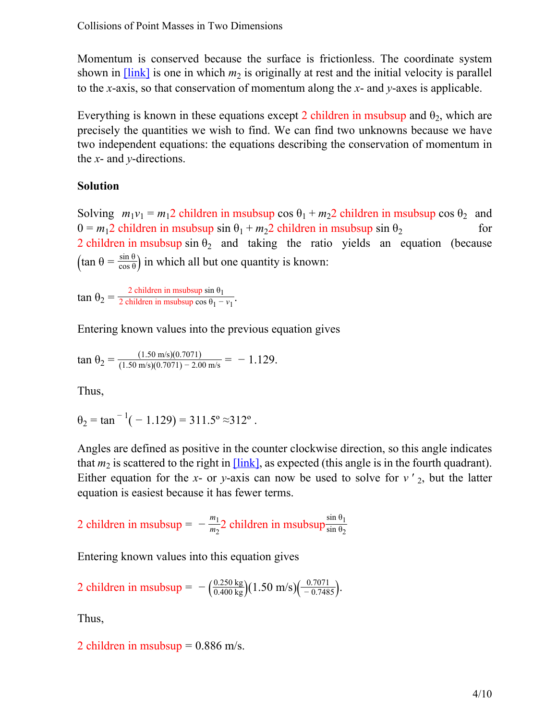Momentum is conserved because the surface is frictionless. The coordinate system shown in  $[\text{link}]$  is one in which  $m_2$  is originally at rest and the initial velocity is parallel to the *x*-axis, so that conservation of momentum along the *x*- and *y*-axes is applicable.

Everything is known in these equations except 2 children in msubsup and  $\theta_2$ , which are precisely the quantities we wish to find. We can find two unknowns because we have two independent equations: the equations describing the conservation of momentum in the *x*- and *y*-directions.

#### **Solution**

Solving  $m_1v_1 = m_12$  children in msubsup cos  $\theta_1 + m_22$  children in msubsup cos  $\theta_2$  and  $0 = m_1 2$  children in msubsup sin  $\theta_1 + m_2 2$  children in msubsup sin  $\theta_2$  for 2 children in msubsup sin  $\theta_2$  and taking the ratio yields an equation (because  $(\tan \theta = \frac{\sin \theta}{\cos \theta})$  in which all but one quantity is known:

 $\tan \theta_2 = \frac{2 \text{ children in msubsup} \sin \theta_1}{2 \text{ children in msubsup} \cos \theta_1 - 1}$ 2 children in msubsup  $\cos \theta_1 - v_1$ .

Entering known values into the previous equation gives

$$
\tan \theta_2 = \frac{(1.50 \text{ m/s})(0.7071)}{(1.50 \text{ m/s})(0.7071) - 2.00 \text{ m/s}} = -1.129.
$$

Thus,

$$
\theta_2 = \tan^{-1}(-1.129) = 311.5^{\circ} \approx 312^{\circ}
$$
.

Angles are defined as positive in the counter clockwise direction, so this angle indicates that  $m_2$  is scattered to the right in  $[\text{link}]$ , as expected (this angle is in the fourth quadrant). Either equation for the *x*- or *y*-axis can now be used to solve for  $v'_{2}$ , but the latter equation is easiest because it has fewer terms.

2 children in msubsup =  $-\frac{m_1}{m_2}$  $\frac{m_1}{m_2}$ 2 children in msubsup $\frac{\sin \theta_1}{\sin \theta_2}$ 

Entering known values into this equation gives

2 children in msubsup = 
$$
-\left(\frac{0.250 \text{ kg}}{0.400 \text{ kg}}\right)(1.50 \text{ m/s})\left(\frac{0.7071}{-0.7485}\right)
$$
.

Thus,

2 children in msubsup  $= 0.886$  m/s.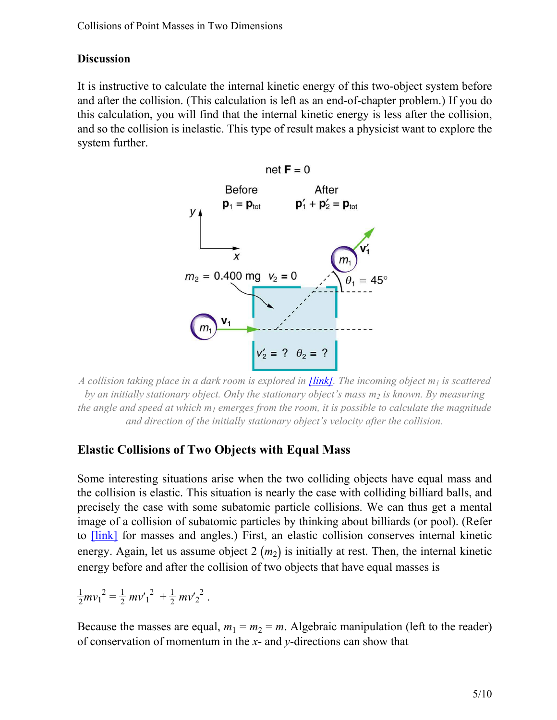#### **Discussion**

<span id="page-4-0"></span>It is instructive to calculate the internal kinetic energy of this two-object system before and after the collision. (This calculation is left as an end-of-chapter problem.) If you do this calculation, you will find that the internal kinetic energy is less after the collision, and so the collision is inelastic. This type of result makes a physicist want to explore the system further.



*A collision taking place in a dark room is explored in [\[link\]](#page-2-0). The incoming object m<sup>1</sup> is scattered by an initially stationary object. Only the stationary object's mass m<sup>2</sup> is known. By measuring the angle and speed at which m<sup>1</sup> emerges from the room, it is possible to calculate the magnitude and direction of the initially stationary object's velocity after the collision.*

## **Elastic Collisions of Two Objects with Equal Mass**

.

Some interesting situations arise when the two colliding objects have equal mass and the collision is elastic. This situation is nearly the case with colliding billiard balls, and precisely the case with some subatomic particle collisions. We can thus get a mental image of a collision of subatomic particles by thinking about billiards (or pool). (Refer to [\[link\]](#page-1-0) for masses and angles.) First, an elastic collision conserves internal kinetic energy. Again, let us assume object  $2(m_2)$  is initially at rest. Then, the internal kinetic energy before and after the collision of two objects that have equal masses is

$$
\frac{1}{2}mv_1^2 = \frac{1}{2}mv_1^2 + \frac{1}{2}mv_2^2
$$

Because the masses are equal,  $m_1 = m_2 = m$ . Algebraic manipulation (left to the reader) of conservation of momentum in the *x*- and *y*-directions can show that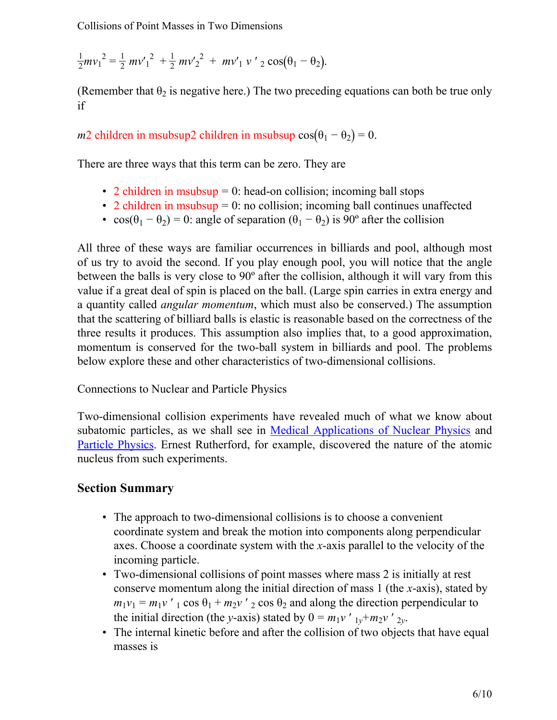$$
\frac{1}{2}mv_1^2 = \frac{1}{2}mv_1^2 + \frac{1}{2}mv_2^2 + mv_1'v_2\cos(\theta_1 - \theta_2).
$$

(Remember that  $\theta_2$  is negative here.) The two preceding equations can both be true only if

*m*2 children in msubsup2 children in msubsup  $cos(\theta_1 - \theta_2) = 0$ .

There are three ways that this term can be zero. They are

- 2 children in msubsup  $= 0$ : head-on collision; incoming ball stops
- 2 children in msubsup  $= 0$ : no collision; incoming ball continues unaffected
- $\cos(\theta_1 \theta_2) = 0$ : angle of separation  $(\theta_1 \theta_2)$  is 90° after the collision

All three of these ways are familiar occurrences in billiards and pool, although most of us try to avoid the second. If you play enough pool, you will notice that the angle between the balls is very close to 90º after the collision, although it will vary from this value if a great deal of spin is placed on the ball. (Large spin carries in extra energy and a quantity called *angular momentum*, which must also be conserved.) The assumption that the scattering of billiard balls is elastic is reasonable based on the correctness of the three results it produces. This assumption also implies that, to a good approximation, momentum is conserved for the two-ball system in billiards and pool. The problems below explore these and other characteristics of two-dimensional collisions.

Connections to Nuclear and Particle Physics

Two-dimensional collision experiments have revealed much of what we know about subatomic particles, as we shall see in Medical [Applications](/m42646) of Nuclear Physics and Particle [Physics](/m42667). Ernest Rutherford, for example, discovered the nature of the atomic nucleus from such experiments.

#### **Section Summary**

- The approach to two-dimensional collisions is to choose a convenient coordinate system and break the motion into components along perpendicular axes. Choose a coordinate system with the *x*-axis parallel to the velocity of the incoming particle.
- Two-dimensional collisions of point masses where mass 2 is initially at rest conserve momentum along the initial direction of mass 1 (the *x*-axis), stated by  $m_1v_1 = m_1v'$  <sub>1</sub> cos  $\theta_1 + m_2v'$  <sub>2</sub> cos  $\theta_2$  and along the direction perpendicular to the initial direction (the *y*-axis) stated by  $0 = m_1 v'_{1y} + m_2 v'_{2y}$ .
- The internal kinetic before and after the collision of two objects that have equal masses is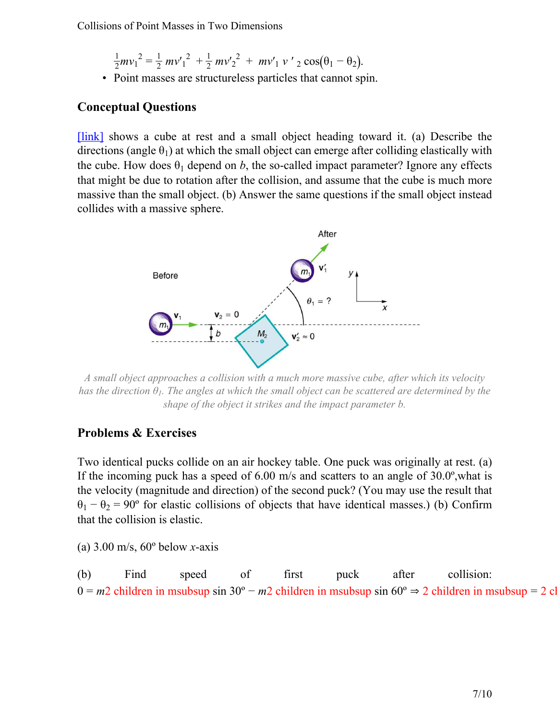- $\frac{1}{2}mv_1^2 = \frac{1}{2}mv'_1^2 + \frac{1}{2}mv'_2^2 + mv'_1 v'_2 \cos(\theta_1 \theta_2).$
- Point masses are structureless particles that cannot spin.

#### **Conceptual Questions**

<span id="page-6-0"></span>[\[link\]](#page-6-0) shows a cube at rest and a small object heading toward it. (a) Describe the directions (angle  $\theta_1$ ) at which the small object can emerge after colliding elastically with the cube. How does  $\theta_1$  depend on *b*, the so-called impact parameter? Ignore any effects that might be due to rotation after the collision, and assume that the cube is much more massive than the small object. (b) Answer the same questions if the small object instead collides with a massive sphere.



*A small object approaches a collision with a much more massive cube, after which its velocity has the direction θ1. The angles at which the small object can be scattered are determined by the shape of the object it strikes and the impact parameter b.*

#### **Problems & Exercises**

Two identical pucks collide on an air hockey table. One puck was originally at rest. (a) If the incoming puck has a speed of 6.00 m/s and scatters to an angle of 30.0º,what is the velocity (magnitude and direction) of the second puck? (You may use the result that  $\theta_1 - \theta_2 = 90^\circ$  for elastic collisions of objects that have identical masses.) (b) Confirm that the collision is elastic.

(a) 3.00 m/s, 60º below *x*-axis

(b) Find speed of first puck after collision: 0 =  $m$ 2 children in msubsup sin 30° −  $m$ 2 children in msubsup sin 60° ⇒ 2 children in msubsup = 2 cl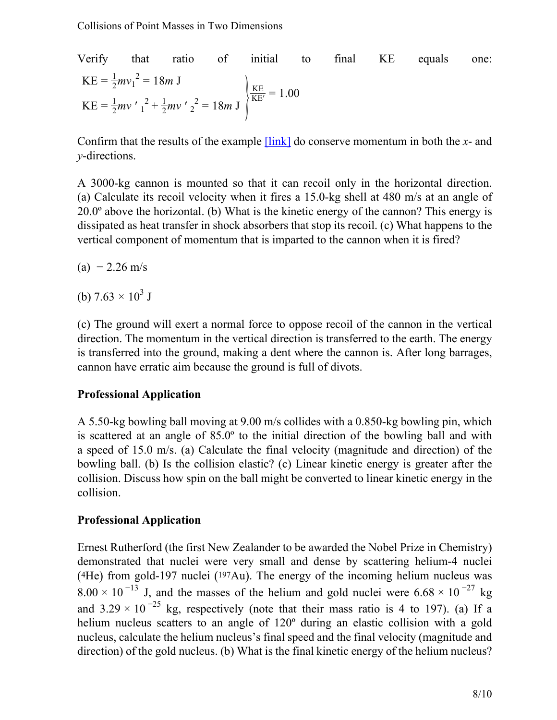Verify that ratio of initial to final KE equals one:  $KE = \frac{1}{2}mv_1^2 = 18m$  J  $KE = \frac{1}{2}mv' \frac{1}{1} + \frac{1}{2}mv' \frac{2}{2} = 18m J$  $\frac{KE}{KE'} = 1.00$ 

Confirm that the results of the example [\[link\]](#page-2-0) do conserve momentum in both the *x*- and *y*-directions.

A 3000-kg cannon is mounted so that it can recoil only in the horizontal direction. (a) Calculate its recoil velocity when it fires a 15.0-kg shell at 480 m/s at an angle of 20.0º above the horizontal. (b) What is the kinetic energy of the cannon? This energy is dissipated as heat transfer in shock absorbers that stop its recoil. (c) What happens to the vertical component of momentum that is imparted to the cannon when it is fired?

- $(a) 2.26$  m/s
- (b)  $7.63 \times 10^3$  J

(c) The ground will exert a normal force to oppose recoil of the cannon in the vertical direction. The momentum in the vertical direction is transferred to the earth. The energy is transferred into the ground, making a dent where the cannon is. After long barrages, cannon have erratic aim because the ground is full of divots.

#### **Professional Application**

A 5.50-kg bowling ball moving at 9.00 m/s collides with a 0.850-kg bowling pin, which is scattered at an angle of 85.0º to the initial direction of the bowling ball and with a speed of 15.0 m/s. (a) Calculate the final velocity (magnitude and direction) of the bowling ball. (b) Is the collision elastic? (c) Linear kinetic energy is greater after the collision. Discuss how spin on the ball might be converted to linear kinetic energy in the collision.

### **Professional Application**

Ernest Rutherford (the first New Zealander to be awarded the Nobel Prize in Chemistry) demonstrated that nuclei were very small and dense by scattering helium-4 nuclei ( <sup>4</sup>He) from gold-197 nuclei ( <sup>197</sup>Au). The energy of the incoming helium nucleus was  $8.00 \times 10^{-13}$  J, and the masses of the helium and gold nuclei were  $6.68 \times 10^{-27}$  kg and  $3.29 \times 10^{-25}$  kg, respectively (note that their mass ratio is 4 to 197). (a) If a helium nucleus scatters to an angle of 120<sup>°</sup> during an elastic collision with a gold nucleus, calculate the helium nucleus's final speed and the final velocity (magnitude and direction) of the gold nucleus. (b) What is the final kinetic energy of the helium nucleus?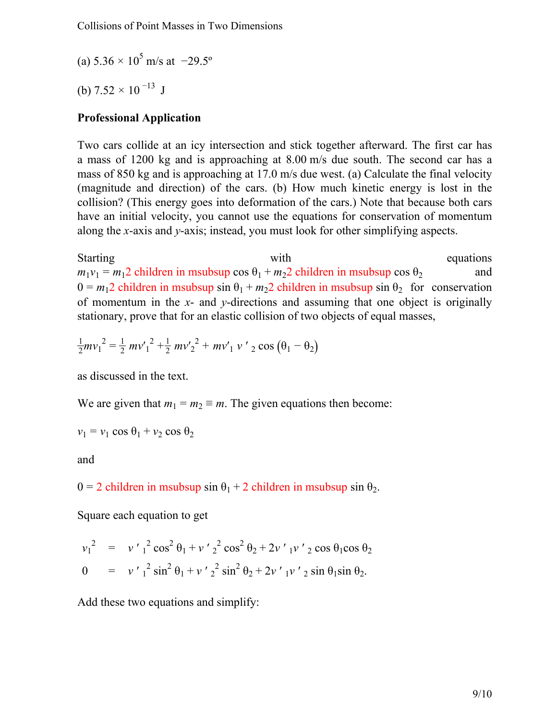(a)  $5.36 \times 10^5$  m/s at  $-29.5^\circ$ 

(b)  $7.52 \times 10^{-13}$  J

### **Professional Application**

Two cars collide at an icy intersection and stick together afterward. The first car has a mass of 1200 kg and is approaching at 8.00 m/s due south. The second car has a mass of 850 kg and is approaching at 17.0 m/s due west. (a) Calculate the final velocity (magnitude and direction) of the cars. (b) How much kinetic energy is lost in the collision? (This energy goes into deformation of the cars.) Note that because both cars have an initial velocity, you cannot use the equations for conservation of momentum along the *x*-axis and *y*-axis; instead, you must look for other simplifying aspects.

Starting with with equations  $m_1v_1 = m_12$  children in msubsup cos  $\theta_1 + m_22$  children in msubsup cos  $\theta_2$  and  $0 = m_1 2$  children in msubsup sin  $\theta_1 + m_2 2$  children in msubsup sin  $\theta_2$  for conservation of momentum in the *x*- and *y*-directions and assuming that one object is originally stationary, prove that for an elastic collision of two objects of equal masses,

$$
\frac{1}{2}mv_1^2 = \frac{1}{2}mv_1^2 + \frac{1}{2}mv_2^2 + mv_1v_2^2 \cos(\theta_1 - \theta_2)
$$

as discussed in the text.

We are given that  $m_1 = m_2 \equiv m$ . The given equations then become:

$$
v_1 = v_1 \cos \theta_1 + v_2 \cos \theta_2
$$

and

 $0 = 2$  children in msubsup sin  $\theta_1 + 2$  children in msubsup sin  $\theta_2$ .

Square each equation to get

$$
v_1^2 = v'_1^2 \cos^2 \theta_1 + v'_2^2 \cos^2 \theta_2 + 2v'_1 v'_2 \cos \theta_1 \cos \theta_2
$$
  
\n
$$
0 = v'_1^2 \sin^2 \theta_1 + v'_2^2 \sin^2 \theta_2 + 2v'_1 v'_2 \sin \theta_1 \sin \theta_2.
$$

Add these two equations and simplify: